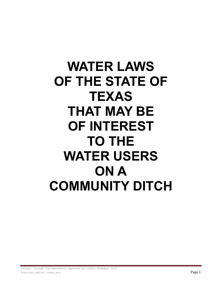# **WATER LAWS OF THE STATE OF TEXAS THAT MAY BE OF INTEREST TO THE WATER USERS ON A COMMUNITY DITCH**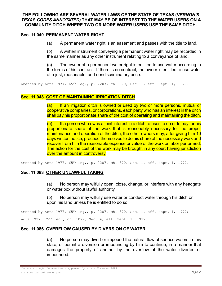# **THE FOLLOWING ARE SEVERAL WATER LAWS OF THE STATE OF TEXAS (***VERNON'S TEXAS CODES ANNOTATED)* **THAT MAY BE OF INTEREST TO THE WATER USERS ON A COMMUNITY DITCH WHERE TWO OR MORE WATER USERS USE THE SAME DITCH.**

#### **Sec. 11.040 PERMANENT WATER RIGHT**

(a) A permanent water right is an easement and passes with the title to land.

(b) A written instrument conveying a permanent water right may be recorded in the same manner as any other instrument relating to a conveyance of land.

(c) The owner of a permanent water right is entitled to use water according to the terms of his contract. If there is no contract, the owner is entitled to use water at a just, reasonable, and nondiscriminatory price.

Amended by Acts 1977, 65<sup>th</sup> Leg., p. 2207, ch. 870, Sec. 1, eff. Sept. 1, 1977.

#### **Sec. 11.048 COST OF MAINTAINING IRRIGATION DITCH**

(a) If an irrigation ditch is owned or used by two or more persons, mutual or cooperative companies, or corporations, each party who has an interest in the ditch shall pay his proportionate share of the cost of operating and maintaining the ditch.

 $(b)$  If a person who owns a joint interest in a ditch refuses to do or to pay for his proportionate share of the work that is reasonably necessary for the proper maintenance and operation of the ditch, the other owners may, after giving him 10 days written notice, proceed themselves to do his share of the necessary work and recover from him the reasonable expense or value of the work or labor performed. The action for the cost of the work may be brought in any court having jurisdiction over the amount in controversy.

Amended by Acts 1977, 65th Leg., p. 2207, ch. 870, Sec. 1, eff. Sept. 1, 1977.

#### **Sec. 11.083 OTHER UNLAWFUL TAKING**

(a) No person may wilfully open, close, change, or interfere with any headgate or water box without lawful authority.

(b) No person may wilfully use water or conduct water through his ditch or upon his land unless he is entitled to do so.

Amended by Acts 1977, 65<sup>th</sup> Leg., p. 2207, ch. 870, Sec. 1, eff. Sept. 1, 1977; Acts 1997, 75th Leg., ch. 1072, Sec. 4, eff. Sept. 1, 1997.

# **Sec. 11.086 OVERFLOW CAUSED BY DIVERSION OF WATER**

(a) No person may divert or impound the natural flow of surface waters in this state, or permit a diversion or impounding by him to continue, in a manner that damages the property of another by the overflow of the water diverted or impounded.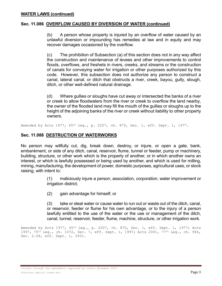# **Sec. 11.086 OVERFLOW CAUSED BY DIVERSION OF WATER (continued)**

(b) A person whose property is injured by an overflow of water caused by an unlawful diversion or impounding has remedies at law and in equity and may recover damages occasioned by the overflow.

(c) The prohibition of Subsection (a) of this section does not in any way affect the construction and maintenance of levees and other improvements to control floods, overflows, and freshets in rivers, creeks, and streams or the construction of canals for conveying water for irrigation or other purposes authorized by this code. However, this subsection does not authorize any person to construct a canal, lateral canal, or ditch that obstructs a river, creek, bayou, gully, slough, ditch, or other well-defined natural drainage.

(d) Where gullies or sloughs have cut away or intersected the banks of a river or creek to allow floodwaters from the river or creek to overflow the land nearby, the owner of the flooded land may fill the mouth of the gullies or sloughs up to the height of the adjoining banks of the river or creek without liability to other property owners.

Amended by Acts 1977, 65<sup>th</sup> Leg., p. 2207, ch. 870, Sec. 1, eff. Sept. 1, 1977.

# **Sec. 11.088 DESTRUCTION OF WATERWORKS**

No person may willfully cut, dig, break down, destroy, or injure, or open a gate, bank, embankment, or side of any ditch, canal, reservoir, flume, tunnel or feeder, pump or machinery, building, structure, or other work which is the property of another, or in which another owns an interest, or which is lawfully possessed or being used by another, and which is used for milling, mining, manufacturing, the development of power, domestic purposes, agricultural uses, or stock raising, with intent to:

> (1) maliciously injure a person, association, corporation, water improvement or irrigation district;

(2) gain advantage for himself; or

(3) take or steal water or cause water to run out or waste out of the ditch, canal, or reservoir, feeder or flume for his own advantage, or to the injury of a person lawfully entitled to the use of the water or the use or management of the ditch, canal, tunnel, reservoir, feeder, flume, machine, structure, or other irrigation work.

Amended by Acts 1977,  $65<sup>th</sup>$  Leg., p. 2207, ch. 870, Sec. 1, eff. Sept. 1, 1977; Acts 1997, 75th Leg., ch. 1072, Sec. 7, eff. Sept. 1, 1997; Acts 2001, 77th Leg., ch. 966, Sec. 2.06, eff. Sept. 1, 2001.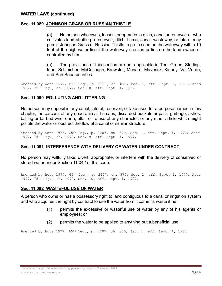#### **WATER LAWS (continued)**

#### **Sec. 11.089 JOHNSON GRASS OR RUSSIAN THISTLE**

(a) No person who owns, leases, or operates a ditch, canal or reservoir or who cultivates land abutting a reservoir, ditch, flume, canal, wasteway, or lateral may permit Johnson Grass or Russian Thistle to go to seed on the waterway within 10 feet of the high-water line if the waterway crosses or lies on the land owned or controlled by him.

(b) The provisions of this section are not applicable in Tom Green, Sterling, Irion, Schleicher, McCullough, Brewster, Menard, Maverick, Kinney, Val Verde, and San Saba counties.

Amended by Acts 1977, 65<sup>th</sup> Leg., p. 2207, ch. 870, Sec. 1, eff. Sept. 1, 1977; Acts 1997, 75th Leg., ch. 1072, Sec. 8, eff. Sept. 1, 1997.

# **Sec. 11.090 POLLUTING AND LITTERING**

No person may deposit in any canal, lateral, reservoir, or lake used for a purpose named in this chapter, the carcass of any dead animal, tin cans, discarded buckets or pails, garbage, ashes, bailing or barbed wire, earth, offal, or refuse of any character, or any other article which might pollute the water or obstruct the flow of a canal or similar structure.

Amended by Acts 1977, 65<sup>th</sup> Leg., p. 2207, ch. 870, Sec. 1, eff. Sept. 1, 1977; Acts 1997, 75th Leg., ch. 1072, Sec. 9, eff. Sept. 1, 1997.

# **Sec. 11.091 INTERFERENCE WITH DELIVERY OF WATER UNDER CONTRACT**

No person may willfully take, divert, appropriate, or interfere with the delivery of conserved or stored water under Section 11.042 of this code.

Amended by Acts 1977, 65<sup>th</sup> Leg., p. 2207, ch. 870, Sec. 1, eff. Sept. 1, 1977; Acts 1997, 75th Leg., ch. 1072, Sec. 10, eff. Sept. 1, 1997.

#### **Sec. 11.092 WASTEFUL USE OF WATER**

A person who owns or has a possessory right to land contiguous to a canal or irrigation system and who acquires the right by contract to use the water from it commits waste if he:

- (1) permits the excessive or wasteful use of water by any of his agents or employees; or
- (2) permits the water to be applied to anything but a beneficial use.

Amended by Acts 1977, 65<sup>th</sup> Leg., p. 2207, ch. 870, Sec. 1, eff. Sept. 1, 1977.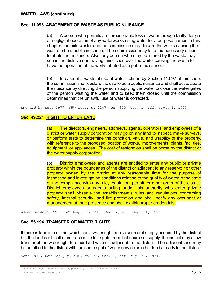# **Sec. 11.093 ABATEMENT OF WASTE AS PUBLIC NUISANCE**

(a) A person who permits an unreasonable loss of water through faulty design or negligent operation of any waterworks using water for a purpose named in this chapter commits waste, and the commission may declare the works causing the waste to be a public nuisance. The commission may take the necessary action to abate the nuisance. Also, any person who may be injured by the waste may sue in the district court having jurisdiction over the works causing the waste to have the operation of the works abated as a public nuisance.

(b) In case of a wasteful use of water defined by Section 11.092 of this code, the commission shall declare the use to be a public nuisance and shall act to abate the nuisance by directing the person supplying the water to close the water gates of the person wasting the water and to keep them closed until the commission determines that the unlawful use of water is corrected.

Amended by Acts 1977, 65th Leg., p. 2207, ch. 870, Sec. 1, eff. Sept. 1, 1977.

# **Sec. 49.221 RIGHT TO ENTER LAND**

(a) The directors, engineers, attorneys, agents, operators, and employees of a district or water supply corporation may go on any land to inspect, make surveys, or perform tests to determine the condition, value, and usability of the property, with reference to the proposed location of works, improvements, plants, facilities, equipment, or appliances. The cost of restoration shall be borne by the district or the water supply corporation.

(b) District employees and agents are entitled to enter any public or private property within the boundaries of the district or adjacent to any reservoir or other property owned by the district at any reasonable time for the purpose of inspecting and investigating conditions relating to the quality of water in the state or the compliance with any rule, regulation, permit, or other order of the district. District employees or agents acting under this authority who enter private property shall observe the establishment's rules and regulations concerning safety, internal security, and fire protection and shall notify any occupant or management of their presence and shall exhibit proper credentials.

Added by Acts 1995, 74th Leg., ch. 715, Sec. 2, eff. Sept. 1, 1995.

# **Sec. 55.194 TRANSFER OF WATER RIGHTS**

If there is land in a district which has a water right from a source of supply acquired by the district but the land is difficult or impracticable to irrigate from that source of supply, the district may allow transfer of the water right to other land which is adjacent to the district. The adjacent land may be admitted to the district with the same right of water service as other land already in the district.

Acts 1971, 62<sup>nd</sup> Leg., p. 446, ch. 58, Sec. 1, eff. Aug. 30, 1971.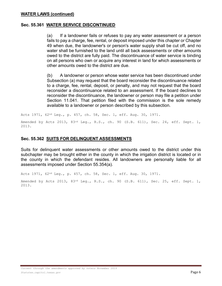#### **Sec. 55.361 WATER SERVICE DISCONTINUED**

(a) If a landowner fails or refuses to pay any water assessment or a person fails to pay a charge, fee, rental, or deposit imposed under this chapter or Chapter 49 when due, the landowner's or person's water supply shall be cut off, and no water shall be furnished to the land until all back assessments or other amounts owed to the district are fully paid. The discontinuance of water service is binding on all persons who own or acquire any interest in land for which assessments or other amounts owed to the district are due.

(b) A landowner or person whose water service has been discontinued under Subsection (a) may request that the board reconsider the discontinuance related to a charge, fee, rental, deposit, or penalty, and may not request that the board reconsider a discontinuance related to an assessment. If the board declines to reconsider the discontinuance, the landowner or person may file a petition under Section 11.041. That petition filed with the commission is the sole remedy available to a landowner or person described by this subsection.

Acts 1971, 62<sup>nd</sup> Leg., p. 457, ch. 58, Sec. 1, eff. Aug. 30, 1971. Amended by Acts 2013, 83rd Leg., R.S., ch. 90 (S.B. 611), Sec. 24, eff. Sept. 1, 2013.

#### **Sec. 55.362 SUITS FOR DELINQUENT ASSESSMENTS**

Suits for delinquent water assessments or other amounts owed to the district under this subchapter may be brought either in the county in which the irrigation district is located or in the county in which the defendant resides. All landowners are personally liable for all assessments imposed under Section 55.354(a).

Acts 1971, 62<sup>nd</sup> Leg., p. 457, ch. 58, Sec. 1, eff. Aug. 30, 1971. Amended by Acts 2013,  $83^{rd}$  Leg., R.S., ch. 90 (S.B. 611), Sec. 25, eff. Sept. 1, 2013.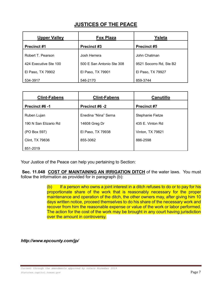# **JUSTICES OF THE PEACE**

| <b>Upper Valley</b>   | <b>Fox Plaza</b>          | Ysleta                  |
|-----------------------|---------------------------|-------------------------|
| <b>Precinct #1</b>    | <b>Precinct #3</b>        | <b>Precinct #5</b>      |
| Robert T. Pearson     | Josh Herrera              | John Chatman            |
| 424 Executive Ste 100 | 500 E San Antonio Ste 308 | 9521 Socorro Rd, Ste B2 |
| El Paso, TX 79902     | El Paso, TX 79901         | El Paso, TX 79927       |
| 534-3917              | 546-2170                  | 859-3744                |

| <b>Clint-Fabens</b>   | <b>Clint-Fabens</b>  | <b>Canutillo</b>        |
|-----------------------|----------------------|-------------------------|
| Precinct #6 -1        | Precinct #6 -2       | <b>Precinct #7</b>      |
| Ruben Lujan           | Enedina "Nina" Serna | <b>Stephanie Fietze</b> |
| 190 N San Elizario Rd | 14608 Greg Dr        | 435 E. Vinton Rd        |
| (PO Box 597)          | El Paso, TX 79938    | Vinton, TX 79821        |
| Clint, TX 79836       | 855-3062             | 886-2598                |
| 851-2019              |                      |                         |

Your Justice of the Peace can help you pertaining to Section:

**Sec. 11.048 COST OF MAINTAINING AN IRRIGATION DITCH** of the water laws. You must follow the information as provided for in paragraph (b):

> $(b)$  If a person who owns a joint interest in a ditch refuses to do or to pay for his proportionate share of the work that is reasonably necessary for the proper maintenance and operation of the ditch, the other owners may, after giving him 10 days written notice, proceed themselves to do his share of the necessary work and recover from him the reasonable expense or value of the work or labor performed. The action for the cost of the work may be brought in any court having jurisdiction over the amount in controversy.

*http://www.epcounty.com/jp/*